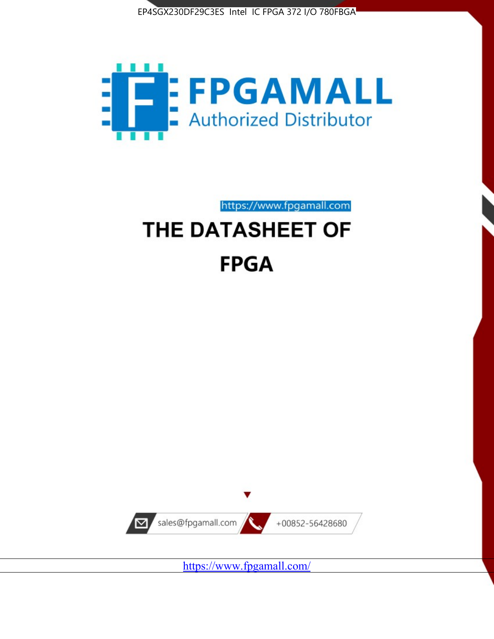



https://www.fpgamall.com

# THE DATASHEET OF **FPGA**



<https://www.fpgamall.com/>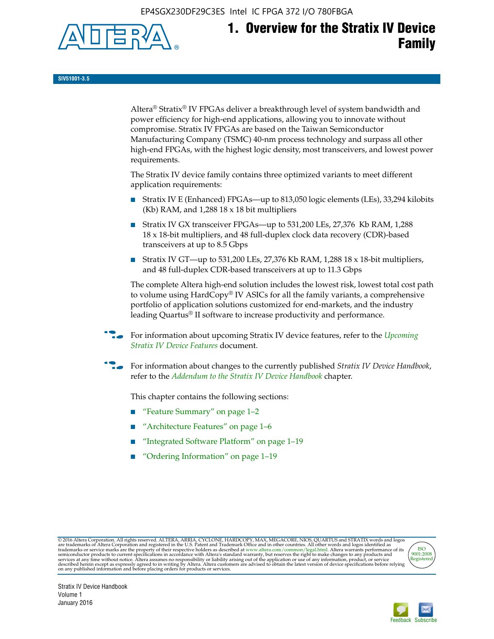EP4SGX230DF29C3ES Intel IC FPGA 372 I/O 780FBGA



**SIV51001-3.5**

Altera® Stratix® IV FPGAs deliver a breakthrough level of system bandwidth and power efficiency for high-end applications, allowing you to innovate without compromise. Stratix IV FPGAs are based on the Taiwan Semiconductor Manufacturing Company (TSMC) 40-nm process technology and surpass all other high-end FPGAs, with the highest logic density, most transceivers, and lowest power requirements.

The Stratix IV device family contains three optimized variants to meet different application requirements:

- Stratix IV E (Enhanced) FPGAs—up to 813,050 logic elements (LEs), 33,294 kilobits (Kb) RAM, and 1,288 18 x 18 bit multipliers
- Stratix IV GX transceiver FPGAs—up to 531,200 LEs, 27,376 Kb RAM, 1,288 18 x 18-bit multipliers, and 48 full-duplex clock data recovery (CDR)-based transceivers at up to 8.5 Gbps
- Stratix IV GT—up to 531,200 LEs, 27,376 Kb RAM, 1,288 18 x 18-bit multipliers, and 48 full-duplex CDR-based transceivers at up to 11.3 Gbps

The complete Altera high-end solution includes the lowest risk, lowest total cost path to volume using HardCopy® IV ASICs for all the family variants, a comprehensive portfolio of application solutions customized for end-markets, and the industry leading Quartus® II software to increase productivity and performance.

f For information about upcoming Stratix IV device features, refer to the *[Upcoming](http://www.altera.com/literature/hb/stratix-iv/uf01001.pdf?GSA_pos=2&WT.oss_r=1&WT.oss=upcoming)  [Stratix IV Device Features](http://www.altera.com/literature/hb/stratix-iv/uf01001.pdf?GSA_pos=2&WT.oss_r=1&WT.oss=upcoming)* document.

f For information about changes to the currently published *Stratix IV Device Handbook*, refer to the *[Addendum to the Stratix IV Device Handbook](http://www.altera.com/literature/hb/stratix-iv/stx4_siv54002.pdf)* chapter.

This chapter contains the following sections:

- "Feature Summary" on page 1–2
- "Architecture Features" on page 1–6
- "Integrated Software Platform" on page 1–19
- "Ordering Information" on page 1–19

@2016 Altera Corporation. All rights reserved. ALTERA, ARRIA, CYCLONE, HARDCOPY, MAX, MEGACORE, NIOS, QUARTUS and STRATIX words and logos are trademarks of Altera Corporation and registered in the U.S. Patent and Trademark



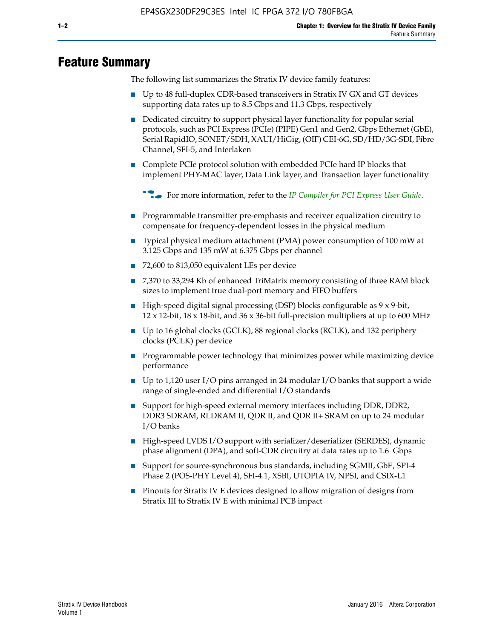# **Feature Summary**

The following list summarizes the Stratix IV device family features:

- Up to 48 full-duplex CDR-based transceivers in Stratix IV GX and GT devices supporting data rates up to 8.5 Gbps and 11.3 Gbps, respectively
- Dedicated circuitry to support physical layer functionality for popular serial protocols, such as PCI Express (PCIe) (PIPE) Gen1 and Gen2, Gbps Ethernet (GbE), Serial RapidIO, SONET/SDH, XAUI/HiGig, (OIF) CEI-6G, SD/HD/3G-SDI, Fibre Channel, SFI-5, and Interlaken
- Complete PCIe protocol solution with embedded PCIe hard IP blocks that implement PHY-MAC layer, Data Link layer, and Transaction layer functionality

**For more information, refer to the** *[IP Compiler for PCI Express User Guide](http://www.altera.com/literature/ug/ug_pci_express.pdf)***.** 

- Programmable transmitter pre-emphasis and receiver equalization circuitry to compensate for frequency-dependent losses in the physical medium
- Typical physical medium attachment (PMA) power consumption of 100 mW at 3.125 Gbps and 135 mW at 6.375 Gbps per channel
- 72,600 to 813,050 equivalent LEs per device
- 7,370 to 33,294 Kb of enhanced TriMatrix memory consisting of three RAM block sizes to implement true dual-port memory and FIFO buffers
- High-speed digital signal processing (DSP) blocks configurable as 9 x 9-bit,  $12 \times 12$ -bit,  $18 \times 18$ -bit, and  $36 \times 36$ -bit full-precision multipliers at up to 600 MHz
- Up to 16 global clocks (GCLK), 88 regional clocks (RCLK), and 132 periphery clocks (PCLK) per device
- Programmable power technology that minimizes power while maximizing device performance
- Up to 1,120 user I/O pins arranged in 24 modular I/O banks that support a wide range of single-ended and differential I/O standards
- Support for high-speed external memory interfaces including DDR, DDR2, DDR3 SDRAM, RLDRAM II, QDR II, and QDR II+ SRAM on up to 24 modular I/O banks
- High-speed LVDS I/O support with serializer/deserializer (SERDES), dynamic phase alignment (DPA), and soft-CDR circuitry at data rates up to 1.6 Gbps
- Support for source-synchronous bus standards, including SGMII, GbE, SPI-4 Phase 2 (POS-PHY Level 4), SFI-4.1, XSBI, UTOPIA IV, NPSI, and CSIX-L1
- Pinouts for Stratix IV E devices designed to allow migration of designs from Stratix III to Stratix IV E with minimal PCB impact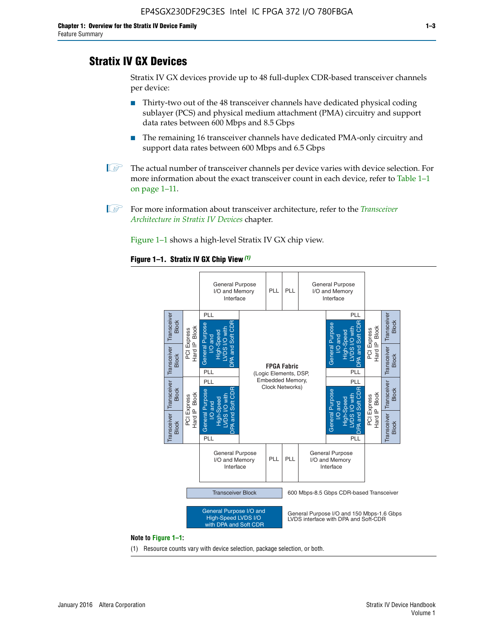# **Stratix IV GX Devices**

Stratix IV GX devices provide up to 48 full-duplex CDR-based transceiver channels per device:

- Thirty-two out of the 48 transceiver channels have dedicated physical coding sublayer (PCS) and physical medium attachment (PMA) circuitry and support data rates between 600 Mbps and 8.5 Gbps
- The remaining 16 transceiver channels have dedicated PMA-only circuitry and support data rates between 600 Mbps and 6.5 Gbps
- **1 The actual number of transceiver channels per device varies with device selection. For** more information about the exact transceiver count in each device, refer to Table 1–1 on page 1–11.
- 1 For more information about transceiver architecture, refer to the *[Transceiver](http://www.altera.com/literature/hb/stratix-iv/stx4_siv52001.pdf)  [Architecture in Stratix IV Devices](http://www.altera.com/literature/hb/stratix-iv/stx4_siv52001.pdf)* chapter.

Figure 1–1 shows a high-level Stratix IV GX chip view.

#### **Figure 1–1. Stratix IV GX Chip View** *(1)*



#### **Note to Figure 1–1:**

(1) Resource counts vary with device selection, package selection, or both.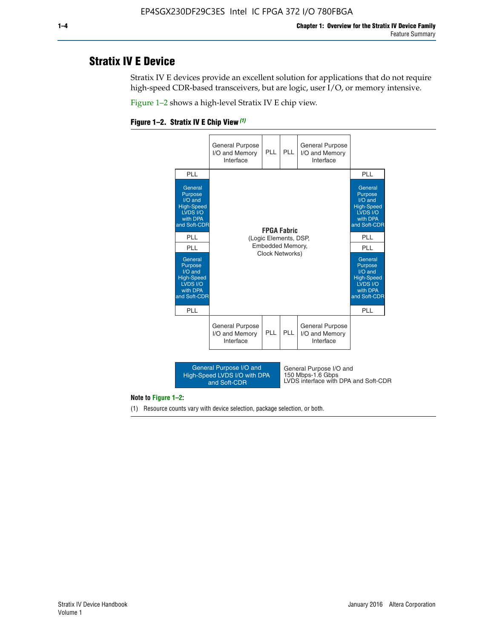# **Stratix IV E Device**

Stratix IV E devices provide an excellent solution for applications that do not require high-speed CDR-based transceivers, but are logic, user I/O, or memory intensive.

Figure 1–2 shows a high-level Stratix IV E chip view.





#### **Note to Figure 1–2:**

(1) Resource counts vary with device selection, package selection, or both.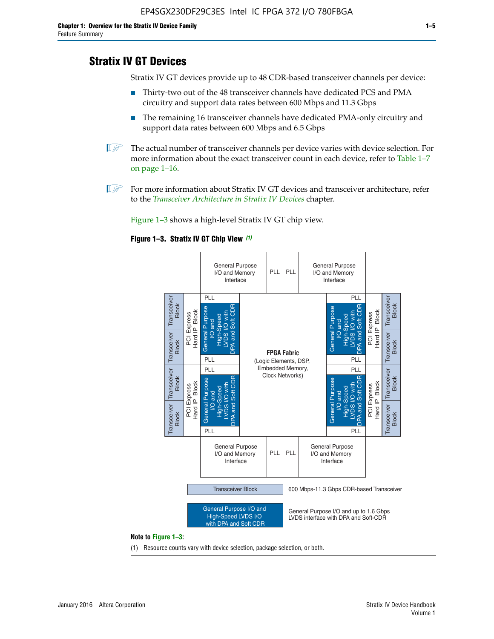# **Stratix IV GT Devices**

Stratix IV GT devices provide up to 48 CDR-based transceiver channels per device:

- Thirty-two out of the 48 transceiver channels have dedicated PCS and PMA circuitry and support data rates between 600 Mbps and 11.3 Gbps
- The remaining 16 transceiver channels have dedicated PMA-only circuitry and support data rates between 600 Mbps and 6.5 Gbps
- **1** The actual number of transceiver channels per device varies with device selection. For more information about the exact transceiver count in each device, refer to Table 1–7 on page 1–16.
- $\mathbb{I}$  For more information about Stratix IV GT devices and transceiver architecture, refer to the *[Transceiver Architecture in Stratix IV Devices](http://www.altera.com/literature/hb/stratix-iv/stx4_siv52001.pdf)* chapter.

Figure 1–3 shows a high-level Stratix IV GT chip view.

#### **Figure 1–3. Stratix IV GT Chip View** *(1)*



(1) Resource counts vary with device selection, package selection, or both.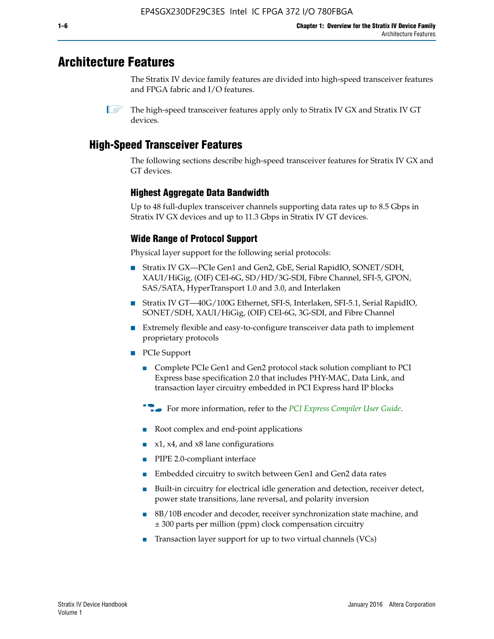# **Architecture Features**

The Stratix IV device family features are divided into high-speed transceiver features and FPGA fabric and I/O features.

# **High-Speed Transceiver Features**

The following sections describe high-speed transceiver features for Stratix IV GX and GT devices.

## **Highest Aggregate Data Bandwidth**

Up to 48 full-duplex transceiver channels supporting data rates up to 8.5 Gbps in Stratix IV GX devices and up to 11.3 Gbps in Stratix IV GT devices.

## **Wide Range of Protocol Support**

Physical layer support for the following serial protocols:

- Stratix IV GX—PCIe Gen1 and Gen2, GbE, Serial RapidIO, SONET/SDH, XAUI/HiGig, (OIF) CEI-6G, SD/HD/3G-SDI, Fibre Channel, SFI-5, GPON, SAS/SATA, HyperTransport 1.0 and 3.0, and Interlaken
- Stratix IV GT—40G/100G Ethernet, SFI-S, Interlaken, SFI-5.1, Serial RapidIO, SONET/SDH, XAUI/HiGig, (OIF) CEI-6G, 3G-SDI, and Fibre Channel
- Extremely flexible and easy-to-configure transceiver data path to implement proprietary protocols
- PCIe Support
	- Complete PCIe Gen1 and Gen2 protocol stack solution compliant to PCI Express base specification 2.0 that includes PHY-MAC, Data Link, and transaction layer circuitry embedded in PCI Express hard IP blocks
	- **For more information, refer to the [PCI Express Compiler User Guide](http://www.altera.com/literature/ug/ug_pci_express.pdf).**
	- Root complex and end-point applications
	- $x1, x4,$  and  $x8$  lane configurations
	- PIPE 2.0-compliant interface
	- Embedded circuitry to switch between Gen1 and Gen2 data rates
	- Built-in circuitry for electrical idle generation and detection, receiver detect, power state transitions, lane reversal, and polarity inversion
	- 8B/10B encoder and decoder, receiver synchronization state machine, and ± 300 parts per million (ppm) clock compensation circuitry
	- Transaction layer support for up to two virtual channels (VCs)

 $\mathbb{I}$  The high-speed transceiver features apply only to Stratix IV GX and Stratix IV GT devices.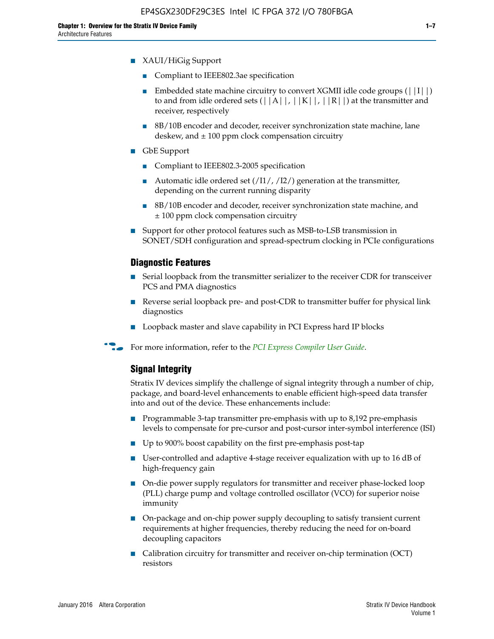- Compliant to IEEE802.3ae specification
- **■** Embedded state machine circuitry to convert XGMII idle code groups  $(|11|)$ to and from idle ordered sets  $(|A|, |K|, |R|)$  at the transmitter and receiver, respectively
- 8B/10B encoder and decoder, receiver synchronization state machine, lane deskew, and  $\pm 100$  ppm clock compensation circuitry
- GbE Support
	- Compliant to IEEE802.3-2005 specification
	- Automatic idle ordered set  $(111/112/1)$  generation at the transmitter, depending on the current running disparity
	- 8B/10B encoder and decoder, receiver synchronization state machine, and ± 100 ppm clock compensation circuitry
- Support for other protocol features such as MSB-to-LSB transmission in SONET/SDH configuration and spread-spectrum clocking in PCIe configurations

#### **Diagnostic Features**

- Serial loopback from the transmitter serializer to the receiver CDR for transceiver PCS and PMA diagnostics
- Reverse serial loopback pre- and post-CDR to transmitter buffer for physical link diagnostics
- Loopback master and slave capability in PCI Express hard IP blocks
- **For more information, refer to the** *[PCI Express Compiler User Guide](http://www.altera.com/literature/ug/ug_pci_express.pdf)***.**

### **Signal Integrity**

Stratix IV devices simplify the challenge of signal integrity through a number of chip, package, and board-level enhancements to enable efficient high-speed data transfer into and out of the device. These enhancements include:

- Programmable 3-tap transmitter pre-emphasis with up to 8,192 pre-emphasis levels to compensate for pre-cursor and post-cursor inter-symbol interference (ISI)
- Up to 900% boost capability on the first pre-emphasis post-tap
- User-controlled and adaptive 4-stage receiver equalization with up to 16 dB of high-frequency gain
- On-die power supply regulators for transmitter and receiver phase-locked loop (PLL) charge pump and voltage controlled oscillator (VCO) for superior noise immunity
- On-package and on-chip power supply decoupling to satisfy transient current requirements at higher frequencies, thereby reducing the need for on-board decoupling capacitors
- Calibration circuitry for transmitter and receiver on-chip termination (OCT) resistors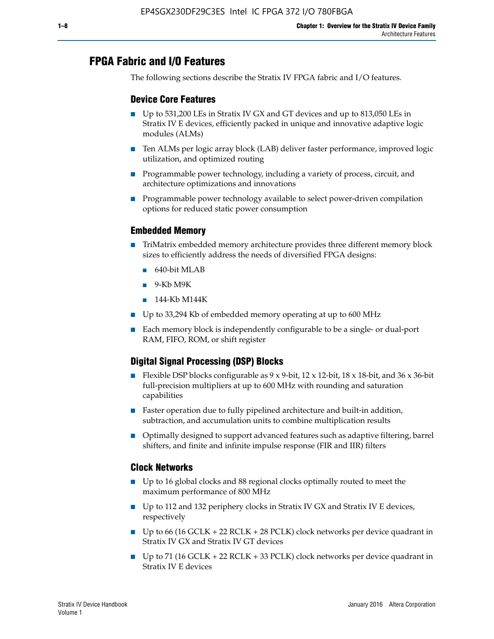# **FPGA Fabric and I/O Features**

The following sections describe the Stratix IV FPGA fabric and I/O features.

## **Device Core Features**

- Up to 531,200 LEs in Stratix IV GX and GT devices and up to 813,050 LEs in Stratix IV E devices, efficiently packed in unique and innovative adaptive logic modules (ALMs)
- Ten ALMs per logic array block (LAB) deliver faster performance, improved logic utilization, and optimized routing
- Programmable power technology, including a variety of process, circuit, and architecture optimizations and innovations
- Programmable power technology available to select power-driven compilation options for reduced static power consumption

## **Embedded Memory**

- TriMatrix embedded memory architecture provides three different memory block sizes to efficiently address the needs of diversified FPGA designs:
	- 640-bit MLAB
	- 9-Kb M9K
	- 144-Kb M144K
- Up to 33,294 Kb of embedded memory operating at up to 600 MHz
- Each memory block is independently configurable to be a single- or dual-port RAM, FIFO, ROM, or shift register

## **Digital Signal Processing (DSP) Blocks**

- Flexible DSP blocks configurable as  $9 \times 9$ -bit,  $12 \times 12$ -bit,  $18 \times 18$ -bit, and  $36 \times 36$ -bit full-precision multipliers at up to 600 MHz with rounding and saturation capabilities
- Faster operation due to fully pipelined architecture and built-in addition, subtraction, and accumulation units to combine multiplication results
- Optimally designed to support advanced features such as adaptive filtering, barrel shifters, and finite and infinite impulse response (FIR and IIR) filters

#### **Clock Networks**

- Up to 16 global clocks and 88 regional clocks optimally routed to meet the maximum performance of 800 MHz
- Up to 112 and 132 periphery clocks in Stratix IV GX and Stratix IV E devices, respectively
- Up to 66 (16 GCLK + 22 RCLK + 28 PCLK) clock networks per device quadrant in Stratix IV GX and Stratix IV GT devices
- Up to 71 (16 GCLK + 22 RCLK + 33 PCLK) clock networks per device quadrant in Stratix IV E devices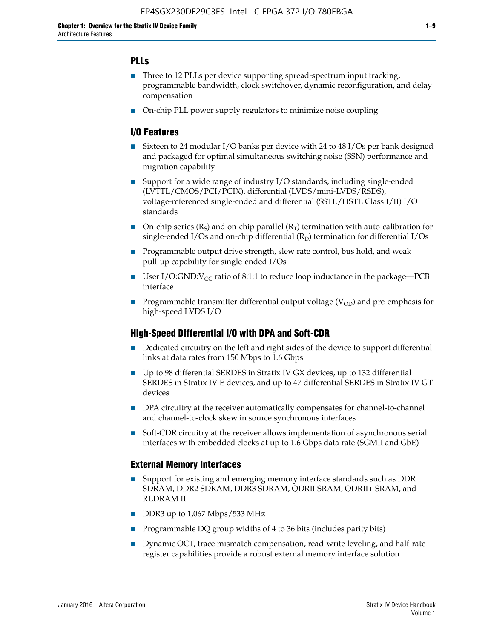## **PLLs**

- Three to 12 PLLs per device supporting spread-spectrum input tracking, programmable bandwidth, clock switchover, dynamic reconfiguration, and delay compensation
- On-chip PLL power supply regulators to minimize noise coupling

## **I/O Features**

- Sixteen to 24 modular I/O banks per device with 24 to 48 I/Os per bank designed and packaged for optimal simultaneous switching noise (SSN) performance and migration capability
- Support for a wide range of industry I/O standards, including single-ended (LVTTL/CMOS/PCI/PCIX), differential (LVDS/mini-LVDS/RSDS), voltage-referenced single-ended and differential (SSTL/HSTL Class I/II) I/O standards
- **O**n-chip series  $(R_S)$  and on-chip parallel  $(R_T)$  termination with auto-calibration for single-ended I/Os and on-chip differential  $(R_D)$  termination for differential I/Os
- Programmable output drive strength, slew rate control, bus hold, and weak pull-up capability for single-ended I/Os
- User I/O:GND: $V_{CC}$  ratio of 8:1:1 to reduce loop inductance in the package—PCB interface
- **■** Programmable transmitter differential output voltage ( $V_{OD}$ ) and pre-emphasis for high-speed LVDS I/O

#### **High-Speed Differential I/O with DPA and Soft-CDR**

- Dedicated circuitry on the left and right sides of the device to support differential links at data rates from 150 Mbps to 1.6 Gbps
- Up to 98 differential SERDES in Stratix IV GX devices, up to 132 differential SERDES in Stratix IV E devices, and up to 47 differential SERDES in Stratix IV GT devices
- DPA circuitry at the receiver automatically compensates for channel-to-channel and channel-to-clock skew in source synchronous interfaces
- Soft-CDR circuitry at the receiver allows implementation of asynchronous serial interfaces with embedded clocks at up to 1.6 Gbps data rate (SGMII and GbE)

#### **External Memory Interfaces**

- Support for existing and emerging memory interface standards such as DDR SDRAM, DDR2 SDRAM, DDR3 SDRAM, QDRII SRAM, QDRII+ SRAM, and RLDRAM II
- DDR3 up to 1,067 Mbps/533 MHz
- Programmable DQ group widths of 4 to 36 bits (includes parity bits)
- Dynamic OCT, trace mismatch compensation, read-write leveling, and half-rate register capabilities provide a robust external memory interface solution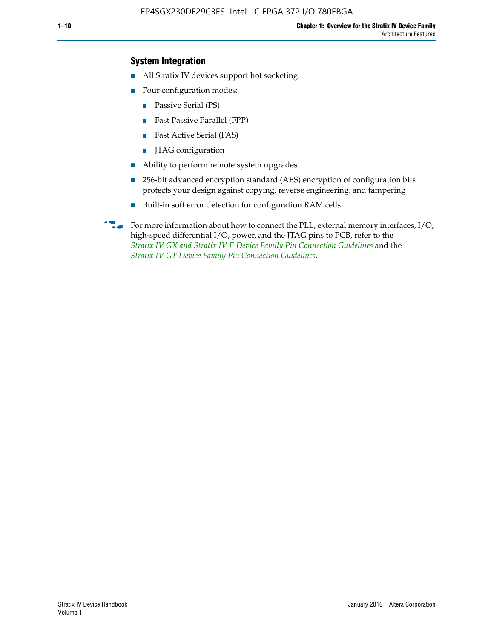## **System Integration**

- All Stratix IV devices support hot socketing
- Four configuration modes:
	- Passive Serial (PS)
	- Fast Passive Parallel (FPP)
	- Fast Active Serial (FAS)
	- JTAG configuration
- Ability to perform remote system upgrades
- 256-bit advanced encryption standard (AES) encryption of configuration bits protects your design against copying, reverse engineering, and tampering
- Built-in soft error detection for configuration RAM cells
- For more information about how to connect the PLL, external memory interfaces,  $I/O$ , high-speed differential I/O, power, and the JTAG pins to PCB, refer to the *[Stratix IV GX and Stratix IV E Device Family Pin Connection Guidelines](http://www.altera.com/literature/dp/stratix4/PCG-01005.pdf)* and the *[Stratix IV GT Device Family Pin Connection Guidelines](http://www.altera.com/literature/dp/stratix4/PCG-01006.pdf)*.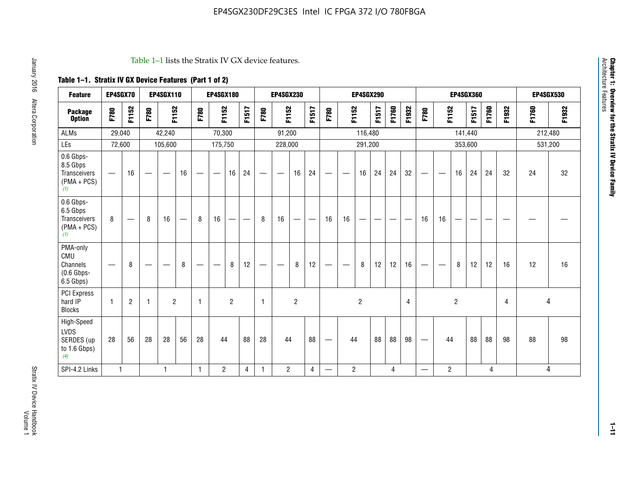#### Table 1–1 lists the Stratix IV GX device features.

## **Table 1–1. Stratix IV GX Device Features (Part 1 of 2)**

| <b>Feature</b>                                                 | EP4SGX70                 |                |                                  | <b>EP4SGX110</b>  |    |                                | <b>EP4SGX180</b>               |                |       |              | <b>EP4SGX230</b>         |                |       |                   |                | <b>EP4SGX290</b> |       |       |                |                                 |                   | <b>EP4SGX360</b> |         |       |       |         | <b>EP4SGX530</b> |
|----------------------------------------------------------------|--------------------------|----------------|----------------------------------|-------------------|----|--------------------------------|--------------------------------|----------------|-------|--------------|--------------------------|----------------|-------|-------------------|----------------|------------------|-------|-------|----------------|---------------------------------|-------------------|------------------|---------|-------|-------|---------|------------------|
| <b>Package</b><br><b>Option</b>                                | F780                     | F1152          | F780                             | F1152             |    | F780                           | F1152                          |                | F1517 | F780         | F1152                    |                | F1517 | F780              | F1152          |                  | F1517 | F1760 | F1932          | F780                            | F1152             |                  | F1517   | F1760 | F1932 | F1760   | F1932            |
| <b>ALMs</b>                                                    | 29,040                   |                |                                  | 42,240            |    |                                | 70,300                         |                |       |              | 91,200                   |                |       |                   |                | 116,480          |       |       |                |                                 |                   |                  | 141,440 |       |       | 212,480 |                  |
| LEs                                                            | 72,600                   |                |                                  | 105,600           |    |                                | 175,750                        |                |       |              | 228,000                  |                |       |                   |                | 291,200          |       |       |                |                                 |                   |                  | 353,600 |       |       |         | 531,200          |
| 0.6 Gbps-<br>8.5 Gbps<br>Transceivers<br>$(PMA + PCs)$<br>(1)  | $\overline{\phantom{0}}$ | 16             | $\hspace{0.05cm}$                | $\hspace{0.05cm}$ | 16 | $\qquad \qquad \longleftarrow$ | $\hspace{0.05cm}$              | 16             | 24    |              | $\overline{\phantom{a}}$ | 16             | 24    | —                 |                | 16               | 24    | 24    | 32             | $\overline{\phantom{0}}$        | $\hspace{0.05cm}$ | 16               | 24      | 24    | 32    | 24      | 32               |
| 0.6 Gbps-<br>6.5 Gbps<br>Transceivers<br>$(PMA + PCs)$<br>(1)  | 8                        |                | 8                                | 16                |    | 8                              | 16                             | -              |       | 8            | 16                       | —              |       | 16                | 16             |                  |       |       |                | 16                              | 16                |                  |         |       |       |         |                  |
| PMA-only<br>CMU<br>Channels<br>$(0.6$ Gbps-<br>6.5 Gbps)       | $\overline{\phantom{0}}$ | 8              | $\overbrace{\phantom{12322111}}$ |                   | 8  | $\qquad \qquad \longleftarrow$ | $\qquad \qquad \longleftarrow$ | 8              | 12    |              |                          | 8              | 12    | $\hspace{0.05cm}$ |                | 8                | 12    | 12    | 16             | $\overline{\phantom{0}}$        | $\hspace{0.05cm}$ | 8                | 12      | 12    | 16    | 12      | 16               |
| PCI Express<br>hard IP<br><b>Blocks</b>                        | $\mathbf{1}$             | $\overline{2}$ | $\mathbf 1$                      | $\overline{2}$    |    | $\mathbf{1}$                   |                                | $\overline{2}$ |       | $\mathbf{1}$ |                          | $\overline{c}$ |       |                   |                | $\overline{c}$   |       |       | $\overline{4}$ |                                 |                   | $\overline{2}$   |         |       | 4     |         | 4                |
| High-Speed<br><b>LVDS</b><br>SERDES (up<br>to 1.6 Gbps)<br>(4) | 28                       | 56             | 28                               | 28                | 56 | 28                             | 44                             |                | 88    | 28           | 44                       |                | 88    | —                 | 44             |                  | 88    | 88    | 98             | $\hspace{0.1mm}-\hspace{0.1mm}$ | 44                |                  | 88      | 88    | 98    | 88      | 98               |
| SPI-4.2 Links                                                  | $\mathbf{1}$             |                |                                  | 1                 |    | $\mathbf{1}$                   | $\overline{c}$                 |                | 4     | 1            | $\overline{c}$           |                | 4     | —                 | $\overline{2}$ |                  |       | 4     |                | $\overline{\phantom{0}}$        | $\overline{2}$    |                  |         | 4     |       |         | 4                |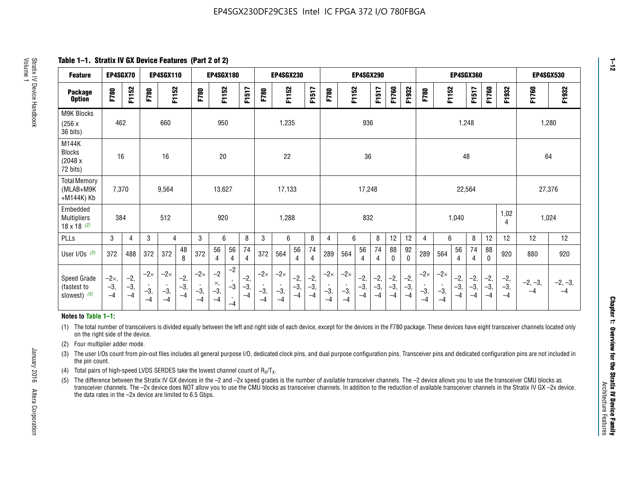**Table 1–1. Stratix IV GX Device Features (Part 2 of 2)**

| <b>Feature</b>                                       | EP4SGX70                |                        |                             | <b>EP4SGX110</b>            |                      |                             | <b>EP4SGX180</b>          |                                              |                        |                             | <b>EP4SGX230</b>            |                        |                      |                             |                             | EP4SGX290              |                      |                        |                        |                             |                             |                        | <b>EP4SGX360</b>     |                        |                        | <b>EP4SGX530</b>  |                   |
|------------------------------------------------------|-------------------------|------------------------|-----------------------------|-----------------------------|----------------------|-----------------------------|---------------------------|----------------------------------------------|------------------------|-----------------------------|-----------------------------|------------------------|----------------------|-----------------------------|-----------------------------|------------------------|----------------------|------------------------|------------------------|-----------------------------|-----------------------------|------------------------|----------------------|------------------------|------------------------|-------------------|-------------------|
| <b>Package</b><br><b>Option</b>                      | F780                    | F1152                  | F780                        | F1152                       |                      | F780                        | F1152                     |                                              | F1517                  | F780                        | F1152                       |                        | F1517                | F780                        | F1152                       |                        | F1517                | F1760                  | F1932                  | F780                        | F1152                       |                        | F1517                | F1760                  | F1932                  | F1760             | F1932             |
| M9K Blocks<br>(256x)<br>36 bits)                     | 462                     |                        |                             | 660                         |                      |                             | 950                       |                                              |                        |                             | 1,235                       |                        |                      |                             |                             | 936                    |                      |                        |                        |                             |                             | 1,248                  |                      |                        |                        | 1,280             |                   |
| M144K<br>Blocks<br>(2048 x<br>72 bits)               | 16                      |                        |                             | 16                          |                      |                             | $20\,$                    |                                              |                        |                             | 22                          |                        |                      |                             |                             | 36                     |                      |                        |                        |                             |                             | 48                     |                      |                        |                        | 64                |                   |
| <b>Total Memory</b><br>(MLAB+M9K<br>+M144K) Kb       | 7,370                   |                        |                             | 9,564                       |                      |                             | 13,627                    |                                              |                        |                             | 17,133                      |                        |                      |                             |                             | 17,248                 |                      |                        |                        |                             |                             | 22,564                 |                      |                        |                        | 27,376            |                   |
| Embedded<br><b>Multipliers</b><br>$18 \times 18$ (2) | 384                     |                        |                             | 512                         |                      |                             | 920                       |                                              |                        |                             | 1,288                       |                        |                      |                             |                             | 832                    |                      |                        |                        |                             |                             | 1,040                  |                      |                        | 1,02<br>4              | 1,024             |                   |
| PLLs                                                 | 3                       | 4                      | 3                           | 4                           |                      | 3                           | 6                         |                                              | 8                      | 3                           | 6                           |                        | 8                    | 4                           | 6                           |                        | 8                    | 12                     | 12                     | 4                           | 6                           |                        | 8                    | 12                     | 12                     | 12                | 12                |
| User I/Os $(3)$                                      | 372                     | 488                    | 372                         | 372                         | 48<br>8              | 372                         | 56<br>4                   | 56<br>4                                      | 74<br>$\overline{4}$   | 372                         | 564                         | 56<br>4                | 74<br>$\overline{4}$ | 289                         | 564                         | 56<br>4                | 74<br>4              | 88<br>0                | 92<br>$\mathbf 0$      | 289                         | 564                         | 56<br>4                | 74<br>4              | 88<br>0                | 920                    | 880               | 920               |
| Speed Grade<br>(fastest to<br>slowest) (5)           | $-2x,$<br>$-3,$<br>$-4$ | $-2,$<br>$-3,$<br>$-4$ | $-2\times$<br>$-3,$<br>$-4$ | $-2\times$<br>$-3,$<br>$-4$ | $-2,$<br>-3,<br>$-4$ | $-2\times$<br>$-3,$<br>$-4$ | $-2$<br>×,<br>$-3,$<br>-4 | $-2$<br>$\,$<br>$-3$<br>$\mathbf{r}$<br>$-4$ | $-2,$<br>$-3,$<br>$-4$ | $-2\times$<br>$-3,$<br>$-4$ | $-2\times$<br>$-3,$<br>$-4$ | $-2,$<br>$-3,$<br>$-4$ | $-2,$<br>-3,<br>$-4$ | $-2\times$<br>$-3,$<br>$-4$ | $-2\times$<br>$-3,$<br>$-4$ | $-2,$<br>$-3,$<br>$-4$ | $-2,$<br>-3,<br>$-4$ | $-2,$<br>$-3,$<br>$-4$ | $-2,$<br>$-3,$<br>$-4$ | $-2\times$<br>$-3,$<br>$-4$ | $-2\times$<br>$-3,$<br>$-4$ | $-2,$<br>$-3,$<br>$-4$ | $-2,$<br>-3,<br>$-4$ | $-2,$<br>$-3,$<br>$-4$ | $-2,$<br>$-3,$<br>$-4$ | $-2, -3,$<br>$-4$ | $-2, -3,$<br>$-4$ |

#### **Notes to Table 1–1:**

(1) The total number of transceivers is divided equally between the left and right side of each device, except for the devices in the F780 package. These devices have eight transceiver channels located only on the right side of the device.

(2) Four multiplier adder mode.

(3) The user I/Os count from pin-out files includes all general purpose I/O, dedicated clock pins, and dual purpose configuration pins. Transceiver pins and dedicated configuration pins are not included in the pin count.

- (4) Total pairs of high-speed LVDS SERDES take the lowest channel count of  $R_X/T_X$ .
- (5) The difference between the Stratix IV GX devices in the –2 and –2x speed grades is the number of available transceiver channels. The –2 device allows you to use the transceiver CMU blocks as transceiver channels. The –2x device does NOT allow you to use the CMU blocks as transceiver channels. In addition to the reduction of available transceiver channels in the Stratix IV GX –2x device, the data rates in the –2x device are limited to 6.5 Gbps.

January 2016 Altera Corporation

Altera Corporation

January 2016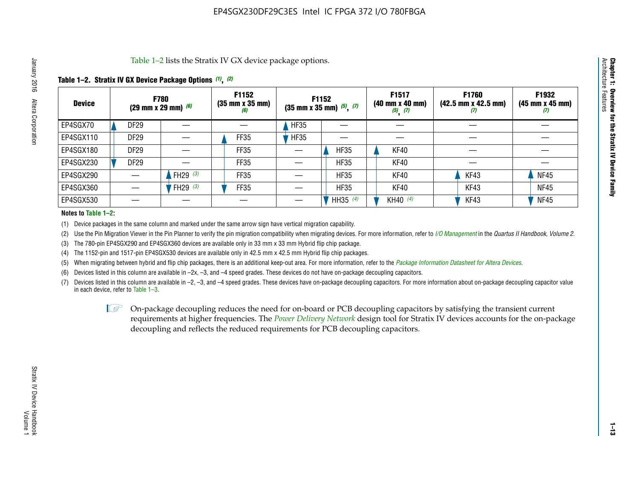Table 1–2 lists the Stratix IV GX device package options.

## **Table 1–2. Stratix IV GX Device Package Options** *(1)***,** *(2)*

| <b>Device</b> |                  | <b>F780</b><br>(29 mm x 29 mm) $(6)$ | F1152<br>$(35 \, \text{mm} \times 35 \, \text{mm})$<br>(6) |             | F1152<br>$(35$ mm x 35 mm) $(5)$ , $(7)$ | F1517<br>(40 mm x 40 mm)<br>$(5)$ $(7)$ | <b>F1760</b><br>$(42.5 \text{ mm} \times 42.5 \text{ mm})$<br>$\boldsymbol{U}$ | F1932<br>$(45 \, \text{mm} \times 45 \, \text{mm})$<br>(7) |
|---------------|------------------|--------------------------------------|------------------------------------------------------------|-------------|------------------------------------------|-----------------------------------------|--------------------------------------------------------------------------------|------------------------------------------------------------|
| EP4SGX70      | <b>DF29</b>      |                                      |                                                            | HF35        |                                          |                                         |                                                                                |                                                            |
| EP4SGX110     | <b>DF29</b>      |                                      | <b>FF35</b>                                                | <b>HF35</b> |                                          |                                         |                                                                                |                                                            |
| EP4SGX180     | DF <sub>29</sub> |                                      | FF35                                                       |             | <b>HF35</b>                              | KF40                                    |                                                                                |                                                            |
| EP4SGX230     | <b>DF29</b>      |                                      | FF35                                                       |             | <b>HF35</b>                              | KF40                                    |                                                                                |                                                            |
| EP4SGX290     |                  | FH29 $(3)$                           | FF35                                                       |             | <b>HF35</b>                              | KF40                                    | KF43                                                                           | <b>NF45</b>                                                |
| EP4SGX360     |                  | <sup>'</sup> FH29 <sup>(3)</sup>     | <b>FF35</b>                                                |             | <b>HF35</b>                              | KF40                                    | KF43                                                                           | <b>NF45</b>                                                |
| EP4SGX530     |                  |                                      |                                                            |             | HH35 (4)                                 | KH40 (4)                                | KF43                                                                           | <b>NF45</b>                                                |

#### **Notes to Table 1–2:**

(1) Device packages in the same column and marked under the same arrow sign have vertical migration capability.

(2) Use the Pin Migration Viewer in the Pin Planner to verify the pin migration compatibility when migrating devices. For more information, refer to *[I/O Management](http://www.altera.com/literature/hb/qts/qts_qii52013.pdf)* in the *Quartus II Handbook, Volume 2*.

(3) The 780-pin EP4SGX290 and EP4SGX360 devices are available only in 33 mm x 33 mm Hybrid flip chip package.

(4) The 1152-pin and 1517-pin EP4SGX530 devices are available only in 42.5 mm x 42.5 mm Hybrid flip chip packages.

(5) When migrating between hybrid and flip chip packages, there is an additional keep-out area. For more information, refer to the *[Package Information Datasheet for Altera Devices](http://www.altera.com/literature/ds/dspkg.pdf)*.

(6) Devices listed in this column are available in –2x, –3, and –4 speed grades. These devices do not have on-package decoupling capacitors.

(7) Devices listed in this column are available in –2, –3, and –4 speed grades. These devices have on-package decoupling capacitors. For more information about on-package decoupling capacitor value in each device, refer to Table 1–3.

 $\mathbb{L}$ s On-package decoupling reduces the need for on-board or PCB decoupling capacitors by satisfying the transient current requirements at higher frequencies. The *[Power Delivery Network](http://www.altera.com/literature/ug/pdn_tool_stxiv.zip)* design tool for Stratix IV devices accounts for the on-package decoupling and reflects the reduced requirements for PCB decoupling capacitors.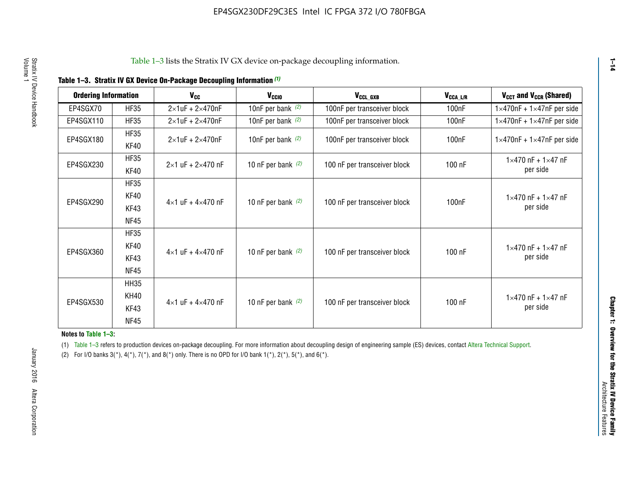| <b>Ordering Information</b> |                            | <b>V<sub>cc</sub></b>               | V <sub>ccio</sub>    | V <sub>CCL GXB</sub>         | V <sub>CCA_L/R</sub> | V <sub>CCT</sub> and V <sub>CCR</sub> (Shared)   |
|-----------------------------|----------------------------|-------------------------------------|----------------------|------------------------------|----------------------|--------------------------------------------------|
| EP4SGX70                    | <b>HF35</b>                | $2\times1$ uF + $2\times470$ nF     | 10nF per bank $(2)$  | 100nF per transceiver block  | 100 <sub>n</sub> F   | $1 \times 470$ nF + $1 \times 47$ nF per side    |
| EP4SGX110                   | <b>HF35</b>                | $2\times1$ uF + $2\times470$ nF     | 10nF per bank $(2)$  | 100nF per transceiver block  | 100 <sub>n</sub> F   | $1\times470$ nF + $1\times47$ nF per side        |
| EP4SGX180                   | <b>HF35</b><br>KF40        | $2\times1$ uF + $2\times470$ nF     | 10nF per bank $(2)$  | 100nF per transceiver block  | 100 <sub>n</sub> F   | $1 \times 470$ nF + $1 \times 47$ nF per side    |
| EP4SGX230                   | <b>HF35</b><br>KF40        | $2 \times 1$ uF + $2 \times 470$ nF | 10 nF per bank $(2)$ | 100 nF per transceiver block | 100 nF               | $1 \times 470$ nF + $1 \times 47$ nF<br>per side |
|                             | <b>HF35</b><br><b>KF40</b> |                                     |                      |                              |                      | $1 \times 470$ nF + $1 \times 47$ nF             |
| EP4SGX290                   | KF43<br><b>NF45</b>        | $4 \times 1$ uF + $4 \times 470$ nF | 10 nF per bank $(2)$ | 100 nF per transceiver block | 100nF                | per side                                         |
|                             | <b>HF35</b><br>KF40        |                                     |                      |                              |                      | $1 \times 470$ nF + $1 \times 47$ nF             |
| EP4SGX360                   | KF43<br><b>NF45</b>        | $4 \times 1$ uF + $4 \times 470$ nF | 10 nF per bank $(2)$ | 100 nF per transceiver block | 100 nF               | per side                                         |
|                             | <b>HH35</b>                |                                     |                      |                              |                      |                                                  |
| EP4SGX530                   | <b>KH40</b><br>KF43        | $4 \times 1$ uF + $4 \times 470$ nF | 10 nF per bank $(2)$ | 100 nF per transceiver block | 100 nF               | $1 \times 470$ nF + $1 \times 47$ nF<br>per side |
|                             | <b>NF45</b>                |                                     |                      |                              |                      |                                                  |

**Notes to Table 1–3:**

(1) Table 1-3 refers to production devices on-package decoupling. For more information about decoupling design of engineering sample (ES) devices, contact [Altera Technical Support](http://mysupport.altera.com/eservice/login.asp).

(2) For I/O banks  $3(*)$ ,  $4(*)$ ,  $7(*)$ , and  $8(*)$  only. There is no OPD for I/O bank  $1(*)$ ,  $2(*)$ ,  $5(*)$ , and  $6(*)$ .

**1–14**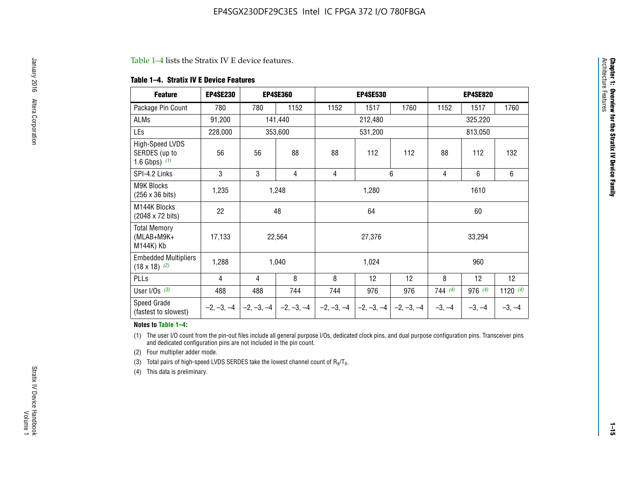#### Table 1–4 lists the Stratix IV E device features.

#### **Table 1–4. Stratix IV E Device Features**

| <b>Feature</b>                                      | <b>EP4SE230</b> |     | <b>EP4SE360</b>                          |              | <b>EP4SE530</b> |              |          | <b>EP4SE820</b> |            |
|-----------------------------------------------------|-----------------|-----|------------------------------------------|--------------|-----------------|--------------|----------|-----------------|------------|
| Package Pin Count                                   | 780             | 780 | 1152                                     | 1152         | 1517            | 1760         | 1152     | 1517            | 1760       |
| ALMs                                                | 91,200          |     | 141,440                                  |              | 212,480         |              |          | 325,220         |            |
| LEs                                                 | 228,000         |     | 353,600                                  |              | 531,200         |              |          | 813,050         |            |
| High-Speed LVDS<br>SERDES (up to<br>1.6 Gbps) $(1)$ | 56              | 56  | 88                                       | 88           | 112             | 112          | 88       | 112             | 132        |
| SPI-4.2 Links                                       | 3               | 3   | 4                                        | 4            |                 | 6            | 4        | 6               | 6          |
| <b>M9K Blocks</b><br>(256 x 36 bits)                | 1,235           |     | 1,248                                    |              | 1,280           |              |          | 1610            |            |
| M144K Blocks<br>(2048 x 72 bits)                    | 22              |     | 48                                       |              | 64              |              |          | 60              |            |
| <b>Total Memory</b><br>$(MLAB+M9K+$<br>M144K) Kb    | 17,133          |     | 22,564                                   |              | 27,376          |              |          | 33,294          |            |
| <b>Embedded Multipliers</b><br>$(18 \times 18)$ (2) | 1,288           |     | 1,040                                    |              | 1,024           |              |          | 960             |            |
| PLLs                                                | 4               | 4   | 8                                        | 8            | 12              | 12           | 8        | 12              | 12         |
| User I/Os $(3)$                                     | 488             | 488 | 744                                      | 744          | 976             | 976          | 744(4)   | 976 (4)         | 1120 $(4)$ |
| Speed Grade<br>(fastest to slowest)                 |                 |     | $-2, -3, -4$ $ -2, -3, -4$ $ -2, -3, -4$ | $-2, -3, -4$ | $-2, -3, -4$    | $-2, -3, -4$ | $-3, -4$ | $-3, -4$        | $-3, -4$   |

#### **Notes to Table 1–4:**

(1) The user I/O count from the pin-out files include all general purpose I/Os, dedicated clock pins, and dual purpose configuration pins. Transceiver pins and dedicated configuration pins are not included in the pin count.

(2) Four multiplier adder mode.

(3) Total pairs of high-speed LVDS SERDES take the lowest channel count of  $R_X/T_X$ .

(4) This data is preliminary.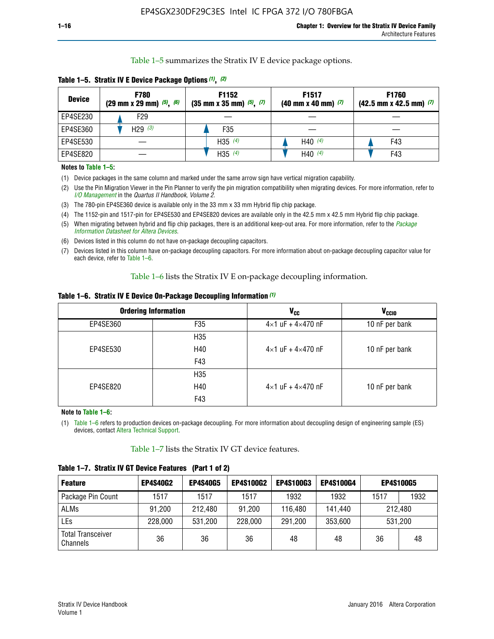Table 1–5 summarizes the Stratix IV E device package options.

| <b>Device</b> | <b>F780</b><br>$(29 \text{ mm} \times 29 \text{ mm})$ $(5)$ , $(6)$ | F1152<br>$(35 \text{ mm} \times 35 \text{ mm})$ $(5)$ , $(7)$ | F <sub>1517</sub><br>$(40 \text{ mm} \times 40 \text{ mm})$ (7) | <b>F1760</b><br>$(42.5$ mm x 42.5 mm) $(7)$ |  |  |
|---------------|---------------------------------------------------------------------|---------------------------------------------------------------|-----------------------------------------------------------------|---------------------------------------------|--|--|
| EP4SE230      | F29                                                                 |                                                               |                                                                 |                                             |  |  |
| EP4SE360      | H29 $(3)$                                                           | F35                                                           |                                                                 |                                             |  |  |
| EP4SE530      |                                                                     | H35 $(4)$                                                     | H40 $(4)$                                                       | F43                                         |  |  |
| EP4SE820      |                                                                     | H35 $(4)$                                                     | H40 $(4)$                                                       | F43                                         |  |  |

**Table 1–5. Stratix IV E Device Package Options** *(1)***,** *(2)*

#### **Notes to Table 1–5:**

(1) Device packages in the same column and marked under the same arrow sign have vertical migration capability.

(2) Use the Pin Migration Viewer in the Pin Planner to verify the pin migration compatibility when migrating devices. For more information, refer to *[I/O Management](http://www.altera.com/literature/hb/qts/qts_qii52013.pdf)* in the *Quartus II Handbook, Volume 2*.

(3) The 780-pin EP4SE360 device is available only in the 33 mm x 33 mm Hybrid flip chip package.

(4) The 1152-pin and 1517-pin for EP4SE530 and EP4SE820 devices are available only in the 42.5 mm x 42.5 mm Hybrid flip chip package.

(5) When migrating between hybrid and flip chip packages, there is an additional keep-out area. For more information, refer to the *[Package](http://www.altera.com/literature/ds/dspkg.pdf)  [Information Datasheet for Altera Devices](http://www.altera.com/literature/ds/dspkg.pdf)*.

(6) Devices listed in this column do not have on-package decoupling capacitors.

(7) Devices listed in this column have on-package decoupling capacitors. For more information about on-package decoupling capacitor value for each device, refer to Table 1–6.

Table 1–6 lists the Stratix IV E on-package decoupling information.

| Table 1–6. Stratix IV E Device On-Package Decoupling Information (1) |  |  |  |  |  |
|----------------------------------------------------------------------|--|--|--|--|--|
|----------------------------------------------------------------------|--|--|--|--|--|

|          | <b>Ordering Information</b> | <b>V<sub>cc</sub></b>               | <b>V<sub>CCIO</sub></b> |
|----------|-----------------------------|-------------------------------------|-------------------------|
| EP4SE360 | F35                         | $4 \times 1$ uF + $4 \times 470$ nF | 10 nF per bank          |
|          | H <sub>35</sub>             |                                     |                         |
| EP4SE530 | H40                         | $4 \times 1$ uF + $4 \times 470$ nF | 10 nF per bank          |
|          | F43                         |                                     |                         |
|          | H <sub>35</sub>             |                                     |                         |
| EP4SE820 | H40                         | $4 \times 1$ uF + $4 \times 470$ nF | 10 nF per bank          |
|          | F43                         |                                     |                         |

**Note to Table 1–6:**

(1) Table 1–6 refers to production devices on-package decoupling. For more information about decoupling design of engineering sample (ES) devices, contact [Altera Technical Support](http://mysupport.altera.com/eservice/login.asp).

Table 1–7 lists the Stratix IV GT device features.

| <b>Feature</b>                       | <b>EP4S40G2</b> | <b>EP4S40G5</b> | <b>EP4S100G2</b> | <b>EP4S100G3</b> | <b>EP4S100G4</b> |      | <b>EP4S100G5</b> |
|--------------------------------------|-----------------|-----------------|------------------|------------------|------------------|------|------------------|
| Package Pin Count                    | 1517            | 1517            | 1517             | 1932             | 1932             | 1517 | 1932             |
| <b>ALMs</b>                          | 91,200          | 212,480         | 91,200           | 116,480          | 141,440          |      | 212.480          |
| LEs                                  | 228,000         | 531,200         | 228,000          | 291,200          | 353,600          |      | 531,200          |
| <b>Total Transceiver</b><br>Channels | 36              | 36              | 36               | 48               | 48               | 36   | 48               |

**Table 1–7. Stratix IV GT Device Features (Part 1 of 2)**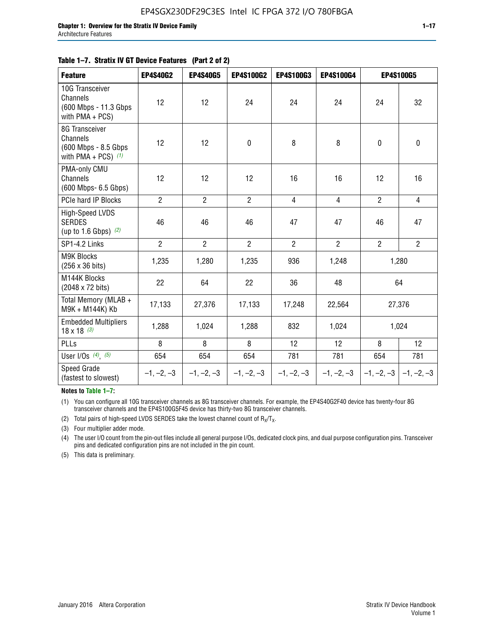#### **Table 1–7. Stratix IV GT Device Features (Part 2 of 2)**

| <b>Feature</b>                                                              | <b>EP4S40G2</b> | <b>EP4S40G5</b> | EP4S100G2      | <b>EP4S100G3</b> | EP4S100G4      |                           | <b>EP4S100G5</b> |
|-----------------------------------------------------------------------------|-----------------|-----------------|----------------|------------------|----------------|---------------------------|------------------|
| 10G Transceiver<br>Channels<br>(600 Mbps - 11.3 Gbps)<br>with PMA + PCS)    | 12              | 12              | 24             | 24               | 24             | 24                        | 32               |
| 8G Transceiver<br>Channels<br>(600 Mbps - 8.5 Gbps<br>with PMA + PCS) $(1)$ | 12              | 12              | $\mathbf 0$    | 8                | 8              | $\mathbf 0$               | $\mathbf 0$      |
| PMA-only CMU<br>Channels<br>(600 Mbps- 6.5 Gbps)                            | 12              | 12              | 12             | 16               | 16             | 12                        | 16               |
| PCIe hard IP Blocks                                                         | $\overline{2}$  | $\overline{2}$  | $\overline{2}$ | $\overline{4}$   | $\overline{4}$ | $\overline{2}$            | $\overline{4}$   |
| High-Speed LVDS<br><b>SERDES</b><br>(up to 1.6 Gbps) $(2)$                  | 46              | 46              | 46             | 47               | 47             | 46                        | 47               |
| SP1-4.2 Links                                                               | $\overline{2}$  | $\overline{2}$  | $\overline{2}$ | $\overline{2}$   | $\overline{2}$ | $\overline{2}$            | $2^{\circ}$      |
| <b>M9K Blocks</b><br>(256 x 36 bits)                                        | 1,235           | 1,280           | 1,235          | 936              | 1,248          |                           | 1,280            |
| M144K Blocks<br>(2048 x 72 bits)                                            | 22              | 64              | 22             | 36               | 48             |                           | 64               |
| Total Memory (MLAB +<br>M9K + M144K) Kb                                     | 17,133          | 27,376          | 17,133         | 17,248           | 22,564         |                           | 27,376           |
| <b>Embedded Multipliers</b><br>$18 \times 18^{(3)}$                         | 1,288           | 1,024           | 1,288          | 832              | 1,024          | 1,024                     |                  |
| PLLs                                                                        | 8               | 8               | 8              | 12               | 12             | 8                         | 12               |
| User I/Os $(4)$ , $(5)$                                                     | 654             | 654             | 654            | 781              | 781            | 654                       | 781              |
| Speed Grade<br>(fastest to slowest)                                         | $-1, -2, -3$    | $-1, -2, -3$    | $-1, -2, -3$   | $-1, -2, -3$     | $-1, -2, -3$   | $-1, -2, -3$ $-1, -2, -3$ |                  |

**Notes to Table 1–7:**

(1) You can configure all 10G transceiver channels as 8G transceiver channels. For example, the EP4S40G2F40 device has twenty-four 8G transceiver channels and the EP4S100G5F45 device has thirty-two 8G transceiver channels.

(2) Total pairs of high-speed LVDS SERDES take the lowest channel count of  $R_X/T_X$ .

(3) Four multiplier adder mode.

(4) The user I/O count from the pin-out files include all general purpose I/Os, dedicated clock pins, and dual purpose configuration pins. Transceiver pins and dedicated configuration pins are not included in the pin count.

(5) This data is preliminary.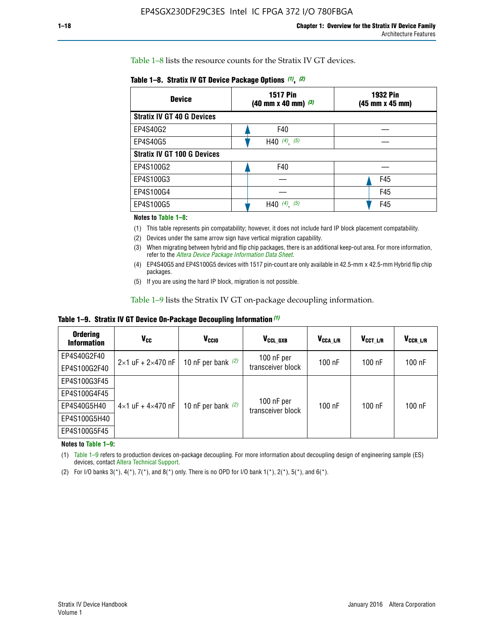Table 1–8 lists the resource counts for the Stratix IV GT devices.

|  | Table 1-8. Stratix IV GT Device Package Options (1), (2) |  |  |  |  |  |
|--|----------------------------------------------------------|--|--|--|--|--|
|--|----------------------------------------------------------|--|--|--|--|--|

| <b>Device</b>                      | <b>1517 Pin</b><br><b>1932 Pin</b><br>$(40 \text{ mm} \times 40 \text{ mm})$ $(3)$<br>(45 mm x 45 mm) |     |  |
|------------------------------------|-------------------------------------------------------------------------------------------------------|-----|--|
| <b>Stratix IV GT 40 G Devices</b>  |                                                                                                       |     |  |
| EP4S40G2                           | F40                                                                                                   |     |  |
| EP4S40G5                           | H40 $(4)$ , $(5)$                                                                                     |     |  |
| <b>Stratix IV GT 100 G Devices</b> |                                                                                                       |     |  |
| EP4S100G2                          | F40                                                                                                   |     |  |
| EP4S100G3                          |                                                                                                       | F45 |  |
| EP4S100G4                          |                                                                                                       | F45 |  |
| EP4S100G5                          | (5)<br>$(4)$ ,<br>H40                                                                                 | F45 |  |

#### **Notes to Table 1–8:**

(1) This table represents pin compatability; however, it does not include hard IP block placement compatability.

- (2) Devices under the same arrow sign have vertical migration capability.
- (3) When migrating between hybrid and flip chip packages, there is an additional keep-out area. For more information, refer to the *[Altera Device Package Information Data Sheet](http://www.altera.com/literature/ds/dspkg.pdf)*.
- (4) EP4S40G5 and EP4S100G5 devices with 1517 pin-count are only available in 42.5-mm x 42.5-mm Hybrid flip chip packages.
- (5) If you are using the hard IP block, migration is not possible.

Table 1–9 lists the Stratix IV GT on-package decoupling information.

**Table 1–9. Stratix IV GT Device On-Package Decoupling Information** *(1)*

| <b>Ordering</b><br><b>Information</b> | Vcc                                 | <b>V<sub>CCIO</sub></b> | V <sub>CCL GXB</sub>            | V <sub>CCA L/R</sub> | V <sub>CCT L/R</sub> | V <sub>CCR_L/R</sub> |
|---------------------------------------|-------------------------------------|-------------------------|---------------------------------|----------------------|----------------------|----------------------|
| EP4S40G2F40                           | $2 \times 1$ uF + $2 \times 470$ nF | 10 nF per bank $(2)$    | 100 nF per<br>transceiver block | $100$ nF             | $100$ nF             | $100$ nF             |
| EP4S100G2F40                          |                                     |                         |                                 |                      |                      |                      |
| EP4S100G3F45                          |                                     | 10 nF per bank $(2)$    | 100 nF per<br>transceiver block | $100$ nF             | $100$ nF             | $100$ nF             |
| EP4S100G4F45                          |                                     |                         |                                 |                      |                      |                      |
| EP4S40G5H40                           | $4\times1$ uF + $4\times470$ nF     |                         |                                 |                      |                      |                      |
| EP4S100G5H40                          |                                     |                         |                                 |                      |                      |                      |
| EP4S100G5F45                          |                                     |                         |                                 |                      |                      |                      |

**Notes to Table 1–9:**

(1) Table 1–9 refers to production devices on-package decoupling. For more information about decoupling design of engineering sample (ES) devices, contact [Altera Technical Support](http://mysupport.altera.com/eservice/login.asp).

(2) For I/O banks  $3(*)$ ,  $4(*)$ ,  $7(*)$ , and  $8(*)$  only. There is no OPD for I/O bank  $1(*)$ ,  $2(*)$ ,  $5(*)$ , and  $6(*)$ .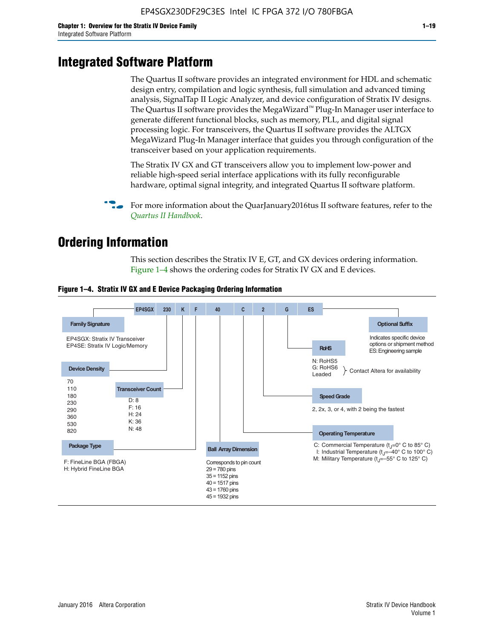# **Integrated Software Platform**

The Quartus II software provides an integrated environment for HDL and schematic design entry, compilation and logic synthesis, full simulation and advanced timing analysis, SignalTap II Logic Analyzer, and device configuration of Stratix IV designs. The Quartus II software provides the MegaWizard<sup> $M$ </sup> Plug-In Manager user interface to generate different functional blocks, such as memory, PLL, and digital signal processing logic. For transceivers, the Quartus II software provides the ALTGX MegaWizard Plug-In Manager interface that guides you through configuration of the transceiver based on your application requirements.

The Stratix IV GX and GT transceivers allow you to implement low-power and reliable high-speed serial interface applications with its fully reconfigurable hardware, optimal signal integrity, and integrated Quartus II software platform.

For more information about the QuarJanuary2016tus II software features, refer to the *[Quartus II Handbook](http://www.altera.com/literature/lit-qts.jsp)*.

# **Ordering Information**

This section describes the Stratix IV E, GT, and GX devices ordering information. Figure 1–4 shows the ordering codes for Stratix IV GX and E devices.



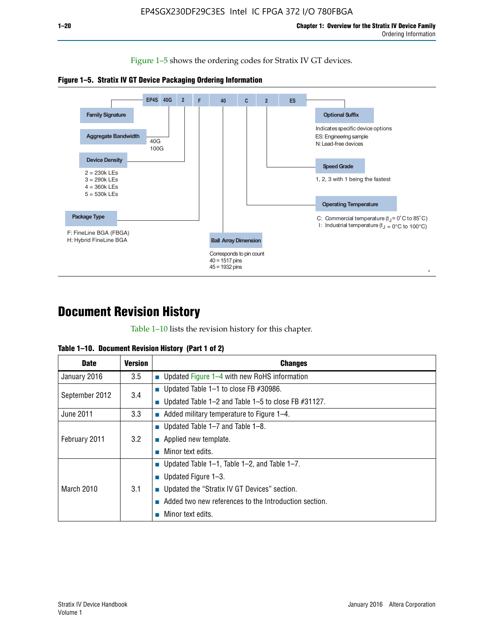Figure 1–5 shows the ordering codes for Stratix IV GT devices.





# **Document Revision History**

Table 1–10 lists the revision history for this chapter.

| Table 1–10. Document Revision History (Part 1 of 2) |  |  |  |  |  |
|-----------------------------------------------------|--|--|--|--|--|
|-----------------------------------------------------|--|--|--|--|--|

| <b>Date</b>       | Version | <b>Changes</b>                                         |
|-------------------|---------|--------------------------------------------------------|
| January 2016      | $3.5\,$ | <b>Updated Figure 1–4 with new RoHS information</b>    |
| September 2012    | 3.4     | ■ Updated Table 1–1 to close FB $#30986$ .             |
|                   |         | Updated Table 1–2 and Table 1–5 to close FB $#31127$ . |
| June 2011         | 3.3     | Added military temperature to Figure 1–4.              |
| February 2011     | 3.2     | ■ Updated Table 1–7 and Table 1–8.                     |
|                   |         | $\blacksquare$ Applied new template.                   |
|                   |         | Minor text edits.                                      |
|                   |         | <b>Updated Table 1–1, Table 1–2, and Table 1–7.</b>    |
| <b>March 2010</b> | 3.1     | ■ Updated Figure $1-3$ .                               |
|                   |         | ■ Updated the "Stratix IV GT Devices" section.         |
|                   |         | Added two new references to the Introduction section.  |
|                   |         | Minor text edits.                                      |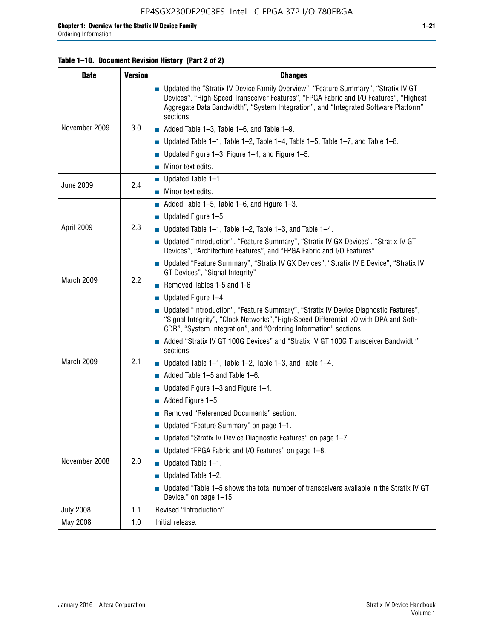### **Table 1–10. Document Revision History (Part 2 of 2)**

| <b>Date</b>      | <b>Version</b> | <b>Changes</b>                                                                                                                                                                                                                                                                    |  |  |
|------------------|----------------|-----------------------------------------------------------------------------------------------------------------------------------------------------------------------------------------------------------------------------------------------------------------------------------|--|--|
|                  |                | ■ Updated the "Stratix IV Device Family Overview", "Feature Summary", "Stratix IV GT<br>Devices", "High-Speed Transceiver Features", "FPGA Fabric and I/O Features", "Highest<br>Aggregate Data Bandwidth", "System Integration", and "Integrated Software Platform"<br>sections. |  |  |
| November 2009    | 3.0            | $\blacksquare$ Added Table 1-3, Table 1-6, and Table 1-9.                                                                                                                                                                                                                         |  |  |
|                  |                | $\blacksquare$ Updated Table 1-1, Table 1-2, Table 1-4, Table 1-5, Table 1-7, and Table 1-8.                                                                                                                                                                                      |  |  |
|                  |                | ■ Updated Figure 1–3, Figure 1–4, and Figure 1–5.                                                                                                                                                                                                                                 |  |  |
|                  |                | $\blacksquare$ Minor text edits.                                                                                                                                                                                                                                                  |  |  |
|                  |                | $\blacksquare$ Updated Table 1-1.                                                                                                                                                                                                                                                 |  |  |
| <b>June 2009</b> | 2.4            | $\blacksquare$ Minor text edits.                                                                                                                                                                                                                                                  |  |  |
|                  |                | $\blacksquare$ Added Table 1-5, Table 1-6, and Figure 1-3.                                                                                                                                                                                                                        |  |  |
|                  |                | <b>Updated Figure 1–5.</b>                                                                                                                                                                                                                                                        |  |  |
| April 2009       | 2.3            | Updated Table $1-1$ , Table $1-2$ , Table $1-3$ , and Table $1-4$ .                                                                                                                                                                                                               |  |  |
|                  |                | ■ Updated "Introduction", "Feature Summary", "Stratix IV GX Devices", "Stratix IV GT<br>Devices", "Architecture Features", and "FPGA Fabric and I/O Features"                                                                                                                     |  |  |
|                  | 2.2            | ■ Updated "Feature Summary", "Stratix IV GX Devices", "Stratix IV E Device", "Stratix IV<br>GT Devices", "Signal Integrity"                                                                                                                                                       |  |  |
| March 2009       |                | Removed Tables 1-5 and 1-6                                                                                                                                                                                                                                                        |  |  |
|                  |                | $\blacksquare$ Updated Figure 1-4                                                                                                                                                                                                                                                 |  |  |
|                  |                | ■ Updated "Introduction", "Feature Summary", "Stratix IV Device Diagnostic Features",<br>"Signal Integrity", "Clock Networks", "High-Speed Differential I/O with DPA and Soft-<br>CDR", "System Integration", and "Ordering Information" sections.                                |  |  |
|                  |                | Added "Stratix IV GT 100G Devices" and "Stratix IV GT 100G Transceiver Bandwidth"<br>sections.                                                                                                                                                                                    |  |  |
| March 2009       | 2.1            | <b>Updated Table 1–1, Table 1–2, Table 1–3, and Table 1–4.</b>                                                                                                                                                                                                                    |  |  |
|                  |                | $\blacksquare$ Added Table 1-5 and Table 1-6.                                                                                                                                                                                                                                     |  |  |
|                  |                | ■ Updated Figure $1-3$ and Figure $1-4$ .                                                                                                                                                                                                                                         |  |  |
|                  |                | $\blacksquare$ Added Figure 1-5.                                                                                                                                                                                                                                                  |  |  |
|                  |                | Removed "Referenced Documents" section.                                                                                                                                                                                                                                           |  |  |
|                  |                | ■ Updated "Feature Summary" on page 1-1.                                                                                                                                                                                                                                          |  |  |
|                  |                | ■ Updated "Stratix IV Device Diagnostic Features" on page 1-7.                                                                                                                                                                                                                    |  |  |
| November 2008    |                | Updated "FPGA Fabric and I/O Features" on page 1-8.                                                                                                                                                                                                                               |  |  |
|                  | 2.0            | Updated Table 1-1.                                                                                                                                                                                                                                                                |  |  |
|                  |                | Updated Table 1-2.                                                                                                                                                                                                                                                                |  |  |
|                  |                | Updated "Table 1-5 shows the total number of transceivers available in the Stratix IV GT<br>Device." on page 1-15.                                                                                                                                                                |  |  |
| <b>July 2008</b> | 1.1            | Revised "Introduction".                                                                                                                                                                                                                                                           |  |  |
| May 2008         | 1.0            | Initial release.                                                                                                                                                                                                                                                                  |  |  |